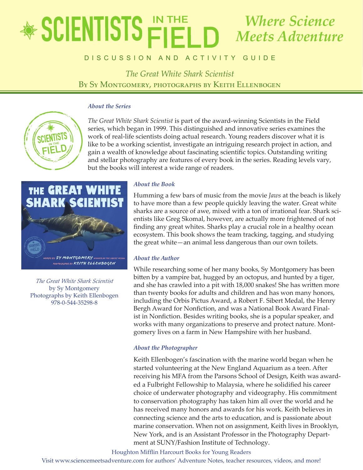## educator's Guide *The Great White Shark Scientist Where Science Meets Adventure*

## **By Sy Montgomery, Photographs Cui discussion and activity Guide**

*The Great White Shark Scientist* By Sy Montgomery, photographs by Keith Ellenbogen

### *About the Series*



*The Great White Shark Scientist* is part of the award-winning Scientists in the Field series, which began in 1999. This distinguished and innovative series examines the work of real-life scientists doing actual research. Young readers discover what it is like to be a working scientist, investigate an intriguing research project in action, and gain a wealth of knowledge about fascinating scientific topics. Outstanding writing and stellar photography are features of every book in the series. Reading levels vary, but the books will interest a wide range of readers.



*The Great White Shark Scientist* by Sy Montgomery Photographs by Keith Ellenbogen 978-0-544-35298-8

### *About the Book*

Humming a few bars of music from the movie *Jaws* at the beach is likely to have more than a few people quickly leaving the water. Great white sharks are a source of awe, mixed with a ton of irrational fear. Shark scientists like Greg Skomal, however, are actually more frightened of not finding any great whites. Sharks play a crucial role in a healthy ocean ecosystem. This book shows the team tracking, tagging, and studying the great white—an animal less dangerous than our own toilets.

### *About the Author*

While researching some of her many books, Sy Montgomery has been bitten by a vampire bat, hugged by an octopus, and hunted by a tiger, and she has crawled into a pit with 18,000 snakes! She has written more than twenty books for adults and children and has won many honors, including the Orbis Pictus Award, a Robert F. Sibert Medal, the Henry Bergh Award for Nonfiction, and was a National Book Award Finalist in Nonfiction. Besides writing books, she is a popular speaker, and works with many organizations to preserve and protect nature. Montgomery lives on a farm in New Hampshire with her husband.

### *About the Photographer*

Keith Ellenbogen's fascination with the marine world began when he started volunteering at the New England Aquarium as a teen. After receiving his MFA from the Parsons School of Design, Keith was awarded a Fulbright Fellowship to Malaysia, where he solidified his career choice of underwater photography and videography. His commitment to conservation photography has taken him all over the world and he has received many honors and awards for his work. Keith believes in connecting science and the arts to education, and is passionate about marine conservation. When not on assignment, Keith lives in Brooklyn, New York, and is an Assistant Professor in the Photography Department at SUNY/Fashion Institute of Technology.

Houghton Mifflin Harcourt Books for Young Readers

Visit www.sciencemeetsadventure.com for authors' Adventure Notes, teacher resources, videos, and more!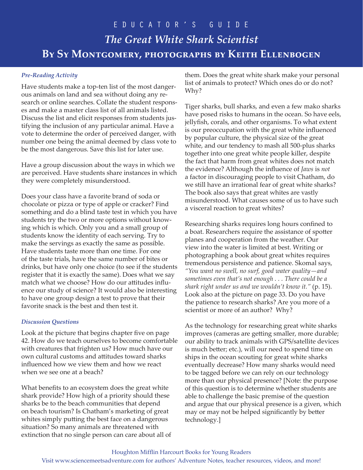### *Pre-Reading Activity*

Have students make a top-ten list of the most dangerous animals on land and sea without doing any research or online searches. Collate the student responses and make a master class list of all animals listed. Discuss the list and elicit responses from students justifying the inclusion of any particular animal. Have a vote to determine the order of perceived danger, with number one being the animal deemed by class vote to be the most dangerous. Save this list for later use.

Have a group discussion about the ways in which we are perceived. Have students share instances in which they were completely misunderstood.

Does your class have a favorite brand of soda or chocolate or pizza or type of apple or cracker? Find something and do a blind taste test in which you have students try the two or more options without knowing which is which. Only you and a small group of students know the identity of each serving. Try to make the servings as exactly the same as possible. Have students taste more than one time. For one of the taste trials, have the same number of bites or drinks, but have only one choice (to see if the students register that it is exactly the same). Does what we say match what we choose? How do our attitudes influence our study of science? It would also be interesting to have one group design a test to prove that their favorite snack is the best and then test it.

### *Discussion Questions*

Look at the picture that begins chapter five on page 42. How do we teach ourselves to become comfortable with creatures that frighten us? How much have our own cultural customs and attitudes toward sharks influenced how we view them and how we react when we see one at a beach?

What benefits to an ecosystem does the great white shark provide? How high of a priority should these sharks be to the beach communities that depend on beach tourism? Is Chatham's marketing of great whites simply putting the best face on a dangerous situation? So many animals are threatened with extinction that no single person can care about all of them. Does the great white shark make your personal list of animals to protect? Which ones do or do not? Why?

Tiger sharks, bull sharks, and even a few mako sharks have posed risks to humans in the ocean. So have eels, jellyfish, corals, and other organisms. To what extent is our preoccupation with the great white influenced by popular culture, the physical size of the great white, and our tendency to mash all 500-plus sharks together into one great white people killer, despite the fact that harm from great whites does not match the evidence? Although the influence of *Jaws* is *not* a factor in discouraging people to visit Chatham, do we still have an irrational fear of great white sharks? The book also says that great whites are vastly misunderstood. What causes some of us to have such a visceral reaction to great whites?

Researching sharks requires long hours confined to a boat. Researchers require the assistance of spotter planes and cooperation from the weather. Our view into the water is limited at best. Writing or photographing a book about great whites requires tremendous persistence and patience. Skomal says, *"You want no swell, no surf, good water quality—and sometimes even that's not enough . . . There could be a shark right under us and we wouldn't know it."* (p. 15). Look also at the picture on page 33. Do you have the patience to research sharks? Are you more of a scientist or more of an author? Why?

As the technology for researching great white sharks improves (cameras are getting smaller, more durable; our ability to track animals with GPS/satellite devices is much better; etc.), will our need to spend time on ships in the ocean scouting for great white sharks eventually decrease? How many sharks would need to be tagged before we can rely on our technology more than our physical presence? [Note: the purpose of this question is to determine whether students are able to challenge the basic premise of the question and argue that our physical presence is a given, which may or may not be helped significantly by better technology.]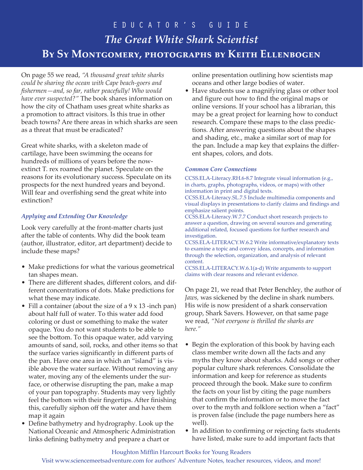On page 55 we read, *"A thousand great white sharks could be sharing the ocean with Cape beach-goers and fishermen—and, so far, rather peacefully! Who would have ever suspected?"* The book shares information on how the city of Chatham uses great white sharks as a promotion to attract visitors. Is this true in other beach towns? Are there areas in which sharks are seen as a threat that must be eradicated?

Great white sharks, with a skeleton made of cartilage, have been swimming the oceans for hundreds of millions of years before the nowextinct T. rex roamed the planet. Speculate on the reasons for its evolutionary success. Speculate on its prospects for the next hundred years and beyond. Will fear and overfishing send the great white into extinction?

### *Applying and Extending Our Knowledge*

Look very carefully at the front-matter charts just after the table of contents. Why did the book team (author, illustrator, editor, art department) decide to include these maps?

- Make predictions for what the various geometrical tan shapes mean.
- There are different shades, different colors, and different concentrations of dots. Make predictions for what these may indicate.
- Fill a container (about the size of a 9 x 13 -inch pan) about half full of water. To this water add food coloring or dust or something to make the water opaque. You do not want students to be able to see the bottom. To this opaque water, add varying amounts of sand, soil, rocks, and other items so that the surface varies significantly in different parts of the pan. Have one area in which an "island" is visible above the water surface. Without removing any water, moving any of the elements under the surface, or otherwise disrupting the pan, make a map of your pan topography. Students may very lightly feel the bottom with their fingertips. After finishing this, carefully siphon off the water and have them map it again
- Define bathymetry and hydrography. Look up the National Oceanic and Atmospheric Administration links defining bathymetry and prepare a chart or

online presentation outlining how scientists map oceans and other large bodies of water.

• Have students use a magnifying glass or other tool and figure out how to find the original maps or online versions. If your school has a librarian, this may be a great project for learning how to conduct research. Compare these maps to the class predictions. After answering questions about the shapes and shading, etc., make a similar sort of map for the pan. Include a map key that explains the different shapes, colors, and dots.

#### *Common Core Connections*

CCSS.ELA-Literacy.RH.6-8.7 Integrate visual information (e.g., in charts, graphs, photographs, videos, or maps) with other information in print and digital texts.

CCSS.ELA-Literacy.SL.7.5 Include multimedia components and visual displays in presentations to clarify claims and findings and emphasize salient points.

CCSS.ELA-Literacy.W.7.7 Conduct short research projects to answer a question, drawing on several sources and generating additional related, focused questions for further research and investigation.

CCSS.ELA-LITERACY.W.6.2 Write informative/explanatory texts to examine a topic and convey ideas, concepts, and information through the selection, organization, and analysis of relevant content.

CCSS.ELA-LITERACY.W.6.1(a-d) Write arguments to support claims with clear reasons and relevant evidence.

On page 21, we read that Peter Benchley, the author of *Jaws,* was sickened by the decline in shark numbers. His wife is now president of a shark conservation group, Shark Savers. However, on that same page we read, *"Not everyone is thrilled the sharks are here."*

- Begin the exploration of this book by having each class member write down all the facts and any myths they know about sharks. Add songs or other popular culture shark references. Consolidate the information and keep for reference as students proceed through the book. Make sure to confirm the facts on your list by citing the page numbers that confirm the information or to move the fact over to the myth and folklore section when a "fact" is proven false (include the page numbers here as well).
- In addition to confirming or rejecting facts students have listed, make sure to add important facts that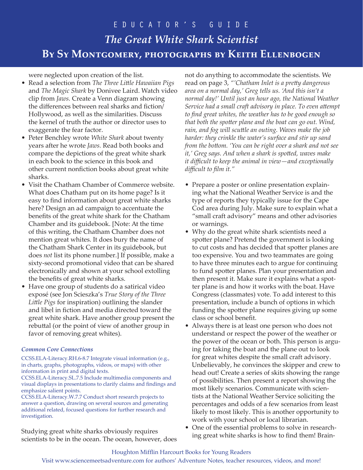were neglected upon creation of the list.

- Read a selection from *The Three Little Hawaiian Pigs* and *The Magic Shark* by Donivee Laird. Watch video clip from *Jaws.* Create a Venn diagram showing the differences between real sharks and fiction/ Hollywood, as well as the similarities. Discuss the kernel of truth the author or director uses to exaggerate the fear factor.
- Peter Benchley wrote *White Shark* about twenty years after he wrote *Jaws.* Read both books and compare the depictions of the great white shark in each book to the science in this book and other current nonfiction books about great white sharks.
- Visit the Chatham Chamber of Commerce website. What does Chatham put on its home page? Is it easy to find information about great white sharks here? Design an ad campaign to accentuate the benefits of the great white shark for the Chatham Chamber and its guidebook. [Note: At the time of this writing, the Chatham Chamber does not mention great whites. It does bury the name of the Chatham Shark Center in its guidebook, but does *not* list its phone number.] If possible, make a sixty-second promotional video that can be shared electronically and shown at your school extolling the benefits of great white sharks.
- Have one group of students do a satirical video exposé (see Jon Scieszka's *True Story of the Three Little Pigs* for inspiration) outlining the slander and libel in fiction and media directed toward the great white shark. Have another group present the rebuttal (or the point of view of another group in favor of removing great whites).

### *Common Core Connections*

CCSS.ELA-Literacy.RH.6-8.7 Integrate visual information (e.g., in charts, graphs, photographs, videos, or maps) with other information in print and digital texts.

CCSS.ELA-Literacy.SL.7.5 Include multimedia components and visual displays in presentations to clarify claims and findings and emphasize salient points.

CCSS.ELA-Literacy.W.7.7 Conduct short research projects to answer a question, drawing on several sources and generating additional related, focused questions for further research and investigation.

Studying great white sharks obviously requires scientists to be in the ocean. The ocean, however, does

not do anything to accommodate the scientists. We read on page 3, *"'Chatham Inlet is a pretty dangerous area on a normal day,' Greg tells us. 'And this isn't a normal day!' Until just an hour ago, the National Weather Service had a small craft advisory in place. To even attempt to find great whites, the weather has to be good enough so that both the spotter plane and the boat can go out. Wind, rain, and fog will scuttle an outing. Waves make the job harder: they crinkle the water's surface and stir up sand from the bottom. 'You can be right over a shark and not see it,' Greg says. And when a shark is spotted, waves make it difficult to keep the animal in view—and exceptionally difficult to film it."*

- Prepare a poster or online presentation explaining what the National Weather Service is and the type of reports they typically issue for the Cape Cod area during July. Make sure to explain what a "small craft advisory" means and other advisories or warnings.
- Why do the great white shark scientists need a spotter plane? Pretend the government is looking to cut costs and has decided that spotter planes are too expensive. You and two teammates are going to have three minutes each to argue for continuing to fund spotter planes. Plan your presentation and then present it. Make sure it explains what a spotter plane is and how it works with the boat. Have Congress (classmates) vote. To add interest to this presentation, include a bunch of options in which funding the spotter plane requires giving up some class or school benefit.
- Always there is at least one person who does not understand or respect the power of the weather or the power of the ocean or both. This person is arguing for taking the boat and the plane out to look for great whites despite the small craft advisory. Unbelievably, he convinces the skipper and crew to head out! Create a series of skits showing the range of possibilities. Then present a report showing the most likely scenarios. Communicate with scientists at the National Weather Service soliciting the percentages and odds of a few scenarios from least likely to most likely. This is another opportunity to work with your school or local librarian.
- One of the essential problems to solve in researching great white sharks is how to find them! Brain-

### Houghton Mifflin Harcourt Books for Young Readers Visit www.sciencemeetsadventure.com for authors' Adventure Notes, teacher resources, videos, and more!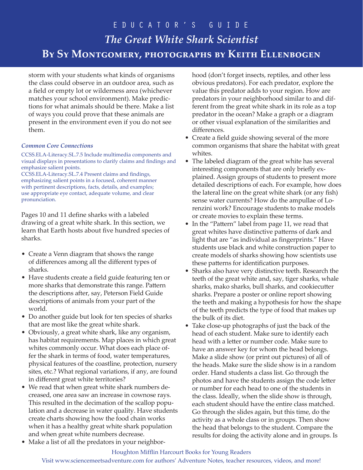storm with your students what kinds of organisms the class could observe in an outdoor area, such as a field or empty lot or wilderness area (whichever matches your school environment). Make predictions for what animals should be there. Make a list of ways you could prove that these animals are present in the environment even if you do not see them.

### *Common Core Connections*

CCSS.ELA-Literacy.SL.7.5 Include multimedia components and visual displays in presentations to clarify claims and findings and emphasize salient points.

CCSS.ELA-Literacy.SL.7.4 Present claims and findings, emphasizing salient points in a focused, coherent manner with pertinent descriptions, facts, details, and examples; use appropriate eye contact, adequate volume, and clear pronunciation.

Pages 10 and 11 define sharks with a labeled drawing of a great white shark. In this section, we learn that Earth hosts about five hundred species of sharks.

- Create a Venn diagram that shows the range of differences among all the different types of sharks.
- Have students create a field guide featuring ten or more sharks that demonstrate this range. Pattern the descriptions after, say, Peterson Field Guide descriptions of animals from your part of the world.
- Do another guide but look for ten species of sharks that are most like the great white shark.
- Obviously, a great white shark, like any organism, has habitat requirements. Map places in which great whites commonly occur. What does each place offer the shark in terms of food, water temperatures, physical features of the coastline, protection, nursery sites, etc.? What regional variations, if any, are found in different great white territories?
- We read that when great white shark numbers decreased, one area saw an increase in cownose rays. This resulted in the decimation of the scallop population and a decrease in water quality. Have students create charts showing how the food chain works when it has a healthy great white shark population and when great white numbers decrease.

hood (don't forget insects, reptiles, and other less obvious predators). For each predator, explore the value this predator adds to your region. How are predators in your neighborhood similar to and different from the great white shark in its role as a top predator in the ocean? Make a graph or a diagram or other visual explanation of the similarities and differences.

- Create a field guide showing several of the more common organisms that share the habitat with great whites.
- The labeled diagram of the great white has several interesting components that are only briefly explained. Assign groups of students to present more detailed descriptions of each. For example, how does the lateral line on the great white shark (or any fish) sense water currents? How do the ampullae of Lorenzini work? Encourage students to make models or create movies to explain these terms.
- In the "Pattern" label from page 11, we read that great whites have distinctive patterns of dark and light that are "as individual as fingerprints." Have students use black and white construction paper to create models of sharks showing how scientists use these patterns for identification purposes.
- Sharks also have very distinctive teeth. Research the teeth of the great white and, say, tiger sharks, whale sharks, mako sharks, bull sharks, and cookiecutter sharks. Prepare a poster or online report showing the teeth and making a hypothesis for how the shape of the teeth predicts the type of food that makes up the bulk of its diet.
- Take close-up photographs of just the back of the head of each student. Make sure to identify each head with a letter or number code. Make sure to have an answer key for whom the head belongs. Make a slide show (or print out pictures) of all of the heads. Make sure the slide show is in a random order. Hand students a class list. Go through the photos and have the students assign the code letter or number for each head to one of the students in the class. Ideally, when the slide show is through, each student should have the entire class matched. Go through the slides again, but this time, do the activity as a whole class or in groups. Then show the head that belongs to the student. Compare the results for doing the activity alone and in groups. Is
- Make a list of all the predators in your neighbor-

#### Houghton Mifflin Harcourt Books for Young Readers

Visit www.sciencemeetsadventure.com for authors' Adventure Notes, teacher resources, videos, and more!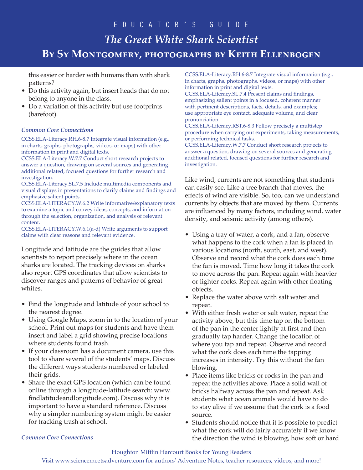this easier or harder with humans than with shark patterns?

- Do this activity again, but insert heads that do not belong to anyone in the class.
- Do a variation of this activity but use footprints (barefoot).

#### *Common Core Connections*

CCSS.ELA-Literacy.RH.6-8.7 Integrate visual information (e.g., in charts, graphs, photographs, videos, or maps) with other information in print and digital texts.

CCSS.ELA-Literacy.W.7.7 Conduct short research projects to answer a question, drawing on several sources and generating additional related, focused questions for further research and investigation.

CCSS.ELA-Literacy.SL.7.5 Include multimedia components and visual displays in presentations to clarify claims and findings and emphasize salient points.

CCSS.ELA-LITERACY.W.6.2 Write informative/explanatory texts to examine a topic and convey ideas, concepts, and information through the selection, organization, and analysis of relevant content.

CCSS.ELA-LITERACY.W.6.1(a-d) Write arguments to support claims with clear reasons and relevant evidence.

Longitude and latitude are the guides that allow scientists to report precisely where in the ocean sharks are located. The tracking devices on sharks also report GPS coordinates that allow scientists to discover ranges and patterns of behavior of great whites.

- Find the longitude and latitude of your school to the nearest degree.
- Using Google Maps, zoom in to the location of your school. Print out maps for students and have them insert and label a grid showing precise locations where students found trash.
- If your classroom has a document camera, use this tool to share several of the students' maps. Discuss the different ways students numbered or labeled their grids.
- Share the exact GPS location (which can be found online through a longitude-latitude search: www. findlatitudeandlongitude.com). Discuss why it is important to have a standard reference. Discuss why a simpler numbering system might be easier for tracking trash at school.

CCSS.ELA-Literacy.RH.6-8.7 Integrate visual information (e.g., in charts, graphs, photographs, videos, or maps) with other information in print and digital texts.

CCSS.ELA-Literacy.SL.7.4 Present claims and findings, emphasizing salient points in a focused, coherent manner with pertinent descriptions, facts, details, and examples; use appropriate eye contact, adequate volume, and clear pronunciation.

CCSS.ELA-Literacy.RST.6-8.3 Follow precisely a multistep procedure when carrying out experiments, taking measurements, or performing technical tasks.

CCSS.ELA-Literacy.W.7.7 Conduct short research projects to answer a question, drawing on several sources and generating additional related, focused questions for further research and investigation.

Like wind, currents are not something that students can easily see. Like a tree branch that moves, the effects of wind are visible. So, too, can we understand currents by objects that are moved by them. Currents are influenced by many factors, including wind, water density, and seismic activity (among others).

- Using a tray of water, a cork, and a fan, observe what happens to the cork when a fan is placed in various locations (north, south, east, and west). Observe and record what the cork does each time the fan is moved. Time how long it takes the cork to move across the pan. Repeat again with heavier or lighter corks. Repeat again with other floating objects.
- Replace the water above with salt water and repeat.
- With either fresh water or salt water, repeat the activity above, but this time tap on the bottom of the pan in the center lightly at first and then gradually tap harder. Change the location of where you tap and repeat. Observe and record what the cork does each time the tapping increases in intensity. Try this without the fan blowing.
- Place items like bricks or rocks in the pan and repeat the activities above. Place a solid wall of bricks halfway across the pan and repeat. Ask students what ocean animals would have to do to stay alive if we assume that the cork is a food source.
- Students should notice that it is possible to predict what the cork will do fairly accurately if we know the direction the wind is blowing, how soft or hard

### *Common Core Connections*

## Houghton Mifflin Harcourt Books for Young Readers

Visit www.sciencemeetsadventure.com for authors' Adventure Notes, teacher resources, videos, and more!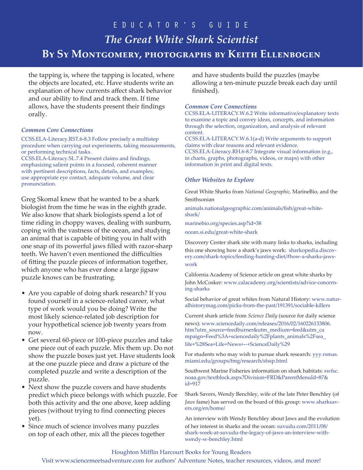the tapping is, where the tapping is located, where the objects are located, etc. Have students write an explanation of how currents affect shark behavior and our ability to find and track them. If time allows, have the students present their findings orally.

#### *Common Core Connections*

CCSS.ELA-Literacy.RST.6-8.3 Follow precisely a multistep procedure when carrying out experiments, taking measurements, or performing technical tasks.

CCSS.ELA-Literacy.SL.7.4 Present claims and findings, emphasizing salient points in a focused, coherent manner with pertinent descriptions, facts, details, and examples; use appropriate eye contact, adequate volume, and clear pronunciation.

Greg Skomal knew that he wanted to be a shark biologist from the time he was in the eighth grade. We also know that shark biologists spend a lot of time riding in choppy waves, dealing with sunburn, coping with the vastness of the ocean, and studying an animal that is capable of biting you in half with one snap of its powerful jaws filled with razor-sharp teeth. We haven't even mentioned the difficulties of fitting the puzzle pieces of information together, which anyone who has ever done a large jigsaw puzzle knows can be frustrating.

- Are you capable of doing shark research? If you found yourself in a science-related career, what type of work would you be doing? Write the most likely science-related job description for your hypothetical science job twenty years from now.
- Get several 60-piece or 100-piece puzzles and take one piece out of each puzzle. Mix them up. Do not show the puzzle boxes just yet. Have students look at the one puzzle piece and draw a picture of the completed puzzle and write a description of the puzzle.
- Next show the puzzle covers and have students predict which piece belongs with which puzzle. For both this activity and the one above, keep adding pieces (without trying to find connecting pieces yet).
- Since much of science involves many puzzles on top of each other, mix all the pieces together

and have students build the puzzles (maybe allowing a ten-minute puzzle break each day until finished).

### *Common Core Connections*

CCSS.ELA-LITERACY.W.6.2 Write informative/explanatory texts to examine a topic and convey ideas, concepts, and information through the selection, organization, and analysis of relevant content.

CCSS.ELA-LITERACY.W.6.1(a-d) Write arguments to support claims with clear reasons and relevant evidence. CCSS.ELA-Literacy.RH.6-8.7 Integrate visual information (e.g., in charts, graphs, photographs, videos, or maps) with other information in print and digital texts.

### *Other Websites to Explore*

Great White Sharks from *National Geographic,* MarineBio, and the Smithsonian

animals.nationalgeographic.com/animals/fish/great-whiteshark/

marinebio.org/species.asp?id=38

ocean.si.edu/great-white-shark

Discovery Center shark site with many links to sharks, including this one showing how a shark's jaws work: sharkopedia.discovery.com/shark-topics/feeding-hunting-diet/#how-a-sharks-jawswork

California Academy of Science article on great white sharks by John McCosker: www.calacademy.org/scientists/advice-concerning-sharks

Social behavior of great whites from Natural History: www.naturalhistorymag.com/picks-from-the-past/191391/sociable-killers

Current shark article from *Science Daily* (source for daily science news): www.sciencedaily.com/releases/2016/02/160226133806. htm?utm\_source=feedburner&utm\_medium=feed&utm\_ca mpaign=Feed%3A+sciencedaily%2Fplants\_animals%2Fsea\_ life+%28Sea+Life+News+--+ScienceDaily%29

For students who may wish to pursue shark research: yyy.rsmas. miami.edu/groups/fmg/research/sfssp.html

Southwest Marine Fisheries information on shark habitats: swfsc. noaa.gov/textblock.aspx?Division=FRD&ParentMenuId=87& id=917

Shark Savers, Wendy Benchley, wife of the late Peter Benchley (of *Jaws* fame) has served on the board of this group: www.sharksavers.org/en/home/

An interview with Wendy Benchley about Jaws and the evolution of her interest in sharks and the ocean: suvudu.com/2011/08/ shark-week-at-suvudu-the-legacy-of-jaws-an-interview-withwendy-w-benchley.html

### Houghton Mifflin Harcourt Books for Young Readers